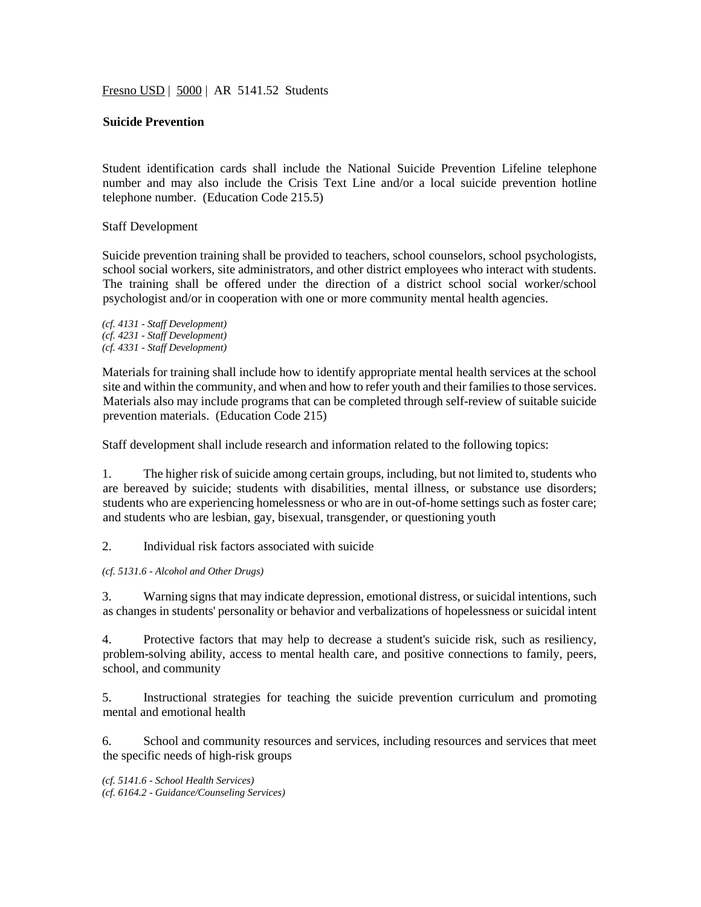Fresno USD | 5000 | AR 5141.52 Students

# **Suicide Prevention**

Student identification cards shall include the National Suicide Prevention Lifeline telephone number and may also include the Crisis Text Line and/or a local suicide prevention hotline telephone number. (Education Code 215.5)

Staff Development

Suicide prevention training shall be provided to teachers, school counselors, school psychologists, school social workers, site administrators, and other district employees who interact with students. The training shall be offered under the direction of a district school social worker/school psychologist and/or in cooperation with one or more community mental health agencies.

*(cf. 4131 - Staff Development) (cf. 4231 - Staff Development) (cf. 4331 - Staff Development)*

Materials for training shall include how to identify appropriate mental health services at the school site and within the community, and when and how to refer youth and their families to those services. Materials also may include programs that can be completed through self-review of suitable suicide prevention materials. (Education Code 215)

Staff development shall include research and information related to the following topics:

1. The higher risk of suicide among certain groups, including, but not limited to, students who are bereaved by suicide; students with disabilities, mental illness, or substance use disorders; students who are experiencing homelessness or who are in out-of-home settings such as foster care; and students who are lesbian, gay, bisexual, transgender, or questioning youth

2. Individual risk factors associated with suicide

*(cf. 5131.6 - Alcohol and Other Drugs)*

3. Warning signs that may indicate depression, emotional distress, or suicidal intentions, such as changes in students' personality or behavior and verbalizations of hopelessness or suicidal intent

4. Protective factors that may help to decrease a student's suicide risk, such as resiliency, problem-solving ability, access to mental health care, and positive connections to family, peers, school, and community

5. Instructional strategies for teaching the suicide prevention curriculum and promoting mental and emotional health

6. School and community resources and services, including resources and services that meet the specific needs of high-risk groups

*(cf. 5141.6 - School Health Services) (cf. 6164.2 - Guidance/Counseling Services)*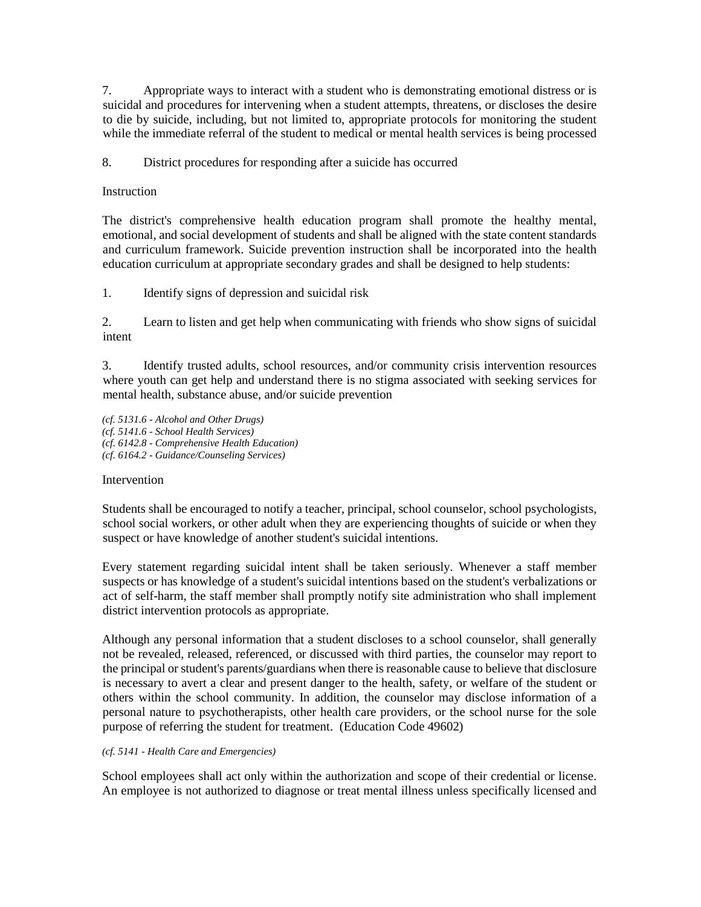7. Appropriate ways to interact with a student who is demonstrating emotional distress or is suicidal and procedures for intervening when a student attempts, threatens, or discloses the desire to die by suicide, including, but not limited to, appropriate protocols for monitoring the student while the immediate referral of the student to medical or mental health services is being processed

8. District procedures for responding after a suicide has occurred

# **Instruction**

The district's comprehensive health education program shall promote the healthy mental, emotional, and social development of students and shall be aligned with the state content standards and curriculum framework. Suicide prevention instruction shall be incorporated into the health education curriculum at appropriate secondary grades and shall be designed to help students:

1. Identify signs of depression and suicidal risk

2. Learn to listen and get help when communicating with friends who show signs of suicidal intent

3. Identify trusted adults, school resources, and/or community crisis intervention resources where youth can get help and understand there is no stigma associated with seeking services for mental health, substance abuse, and/or suicide prevention

*(cf. 5131.6 - Alcohol and Other Drugs) (cf. 5141.6 - School Health Services) (cf. 6142.8 - Comprehensive Health Education) (cf. 6164.2 - Guidance/Counseling Services)*

# Intervention

Students shall be encouraged to notify a teacher, principal, school counselor, school psychologists, school social workers, or other adult when they are experiencing thoughts of suicide or when they suspect or have knowledge of another student's suicidal intentions.

Every statement regarding suicidal intent shall be taken seriously. Whenever a staff member suspects or has knowledge of a student's suicidal intentions based on the student's verbalizations or act of self-harm, the staff member shall promptly notify site administration who shall implement district intervention protocols as appropriate.

Although any personal information that a student discloses to a school counselor, shall generally not be revealed, released, referenced, or discussed with third parties, the counselor may report to the principal or student's parents/guardians when there is reasonable cause to believe that disclosure is necessary to avert a clear and present danger to the health, safety, or welfare of the student or others within the school community. In addition, the counselor may disclose information of a personal nature to psychotherapists, other health care providers, or the school nurse for the sole purpose of referring the student for treatment. (Education Code 49602)

# *(cf. 5141 - Health Care and Emergencies)*

School employees shall act only within the authorization and scope of their credential or license. An employee is not authorized to diagnose or treat mental illness unless specifically licensed and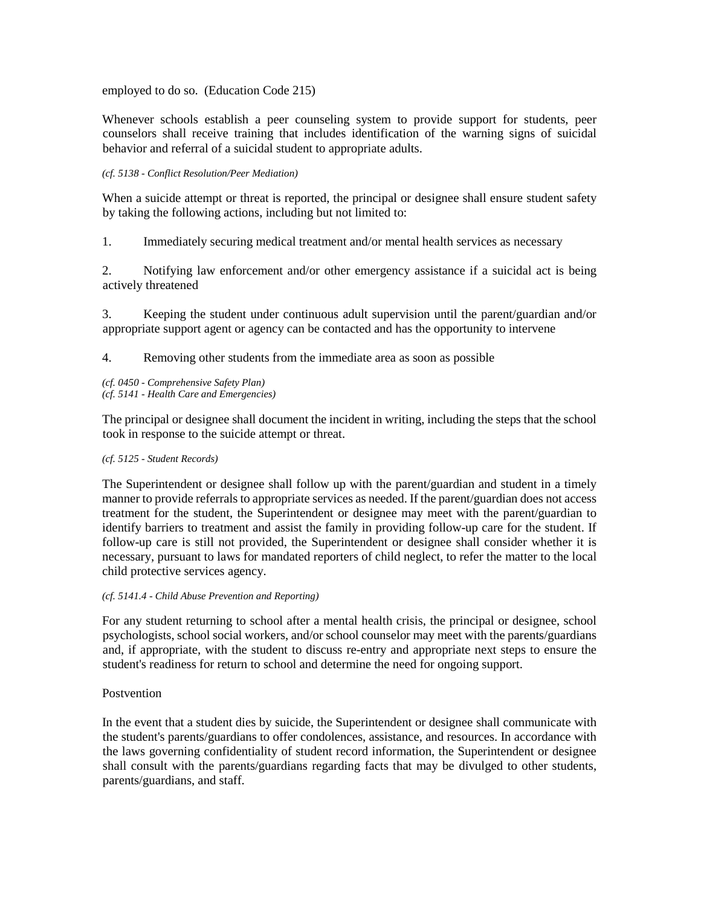employed to do so. (Education Code 215)

Whenever schools establish a peer counseling system to provide support for students, peer counselors shall receive training that includes identification of the warning signs of suicidal behavior and referral of a suicidal student to appropriate adults.

### *(cf. 5138 - Conflict Resolution/Peer Mediation)*

When a suicide attempt or threat is reported, the principal or designee shall ensure student safety by taking the following actions, including but not limited to:

1. Immediately securing medical treatment and/or mental health services as necessary

2. Notifying law enforcement and/or other emergency assistance if a suicidal act is being actively threatened

3. Keeping the student under continuous adult supervision until the parent/guardian and/or appropriate support agent or agency can be contacted and has the opportunity to intervene

4. Removing other students from the immediate area as soon as possible

*(cf. 0450 - Comprehensive Safety Plan) (cf. 5141 - Health Care and Emergencies)*

The principal or designee shall document the incident in writing, including the steps that the school took in response to the suicide attempt or threat.

### *(cf. 5125 - Student Records)*

The Superintendent or designee shall follow up with the parent/guardian and student in a timely manner to provide referrals to appropriate services as needed. If the parent/guardian does not access treatment for the student, the Superintendent or designee may meet with the parent/guardian to identify barriers to treatment and assist the family in providing follow-up care for the student. If follow-up care is still not provided, the Superintendent or designee shall consider whether it is necessary, pursuant to laws for mandated reporters of child neglect, to refer the matter to the local child protective services agency.

### *(cf. 5141.4 - Child Abuse Prevention and Reporting)*

For any student returning to school after a mental health crisis, the principal or designee, school psychologists, school social workers, and/or school counselor may meet with the parents/guardians and, if appropriate, with the student to discuss re-entry and appropriate next steps to ensure the student's readiness for return to school and determine the need for ongoing support.

# **Postvention**

In the event that a student dies by suicide, the Superintendent or designee shall communicate with the student's parents/guardians to offer condolences, assistance, and resources. In accordance with the laws governing confidentiality of student record information, the Superintendent or designee shall consult with the parents/guardians regarding facts that may be divulged to other students, parents/guardians, and staff.